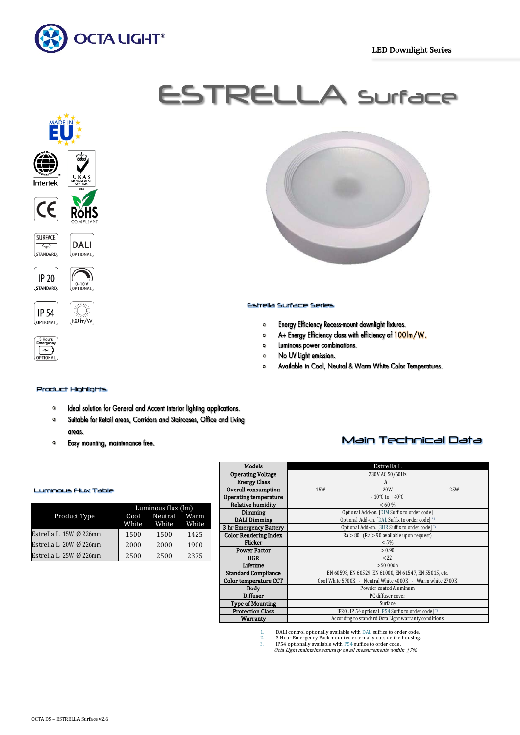

# ESTRELLA Surface

Estrella Surface Series

 $\circ$ 

 $\bullet$ 

 $\bullet$ 

 $\circ$ 

 $\circ$ 











## Product Highlights

100 m/w

- Ideal solution for General and Accent interior lighting applications.  $\bullet$
- Suitable for Retail areas, Corridors and Staircases, Office and Living  $\mathbf{o}$ areas.
- $\mathbf{o}$ Easy mounting, maintenance free.



| Luminous Flux Table |  |
|---------------------|--|
|---------------------|--|

|                          | Luminous flux (lm) |                   |      |
|--------------------------|--------------------|-------------------|------|
| Product Type             |                    | Cool Neutral Warm |      |
|                          | White              | White White       |      |
| Estrella L 15W Ø 226mm   | 1500               | 1500              | 1425 |
| Estrella L $20W$ Ø 226mm | 2000               | 2000              | 1900 |
| Estrella L $25W$ Ø 226mm | 2500               | 2500              | 2375 |

| <b>Models</b>                | Estrella L                                                |                                                |  |  |  |  |
|------------------------------|-----------------------------------------------------------|------------------------------------------------|--|--|--|--|
| <b>Operating Voltage</b>     | 230V AC 50/60Hz                                           |                                                |  |  |  |  |
| <b>Energy Class</b>          | $A+$                                                      |                                                |  |  |  |  |
| Overall consumption          | 15W<br>20W<br>25W                                         |                                                |  |  |  |  |
| <b>Operating temperature</b> |                                                           | $-10^{\circ}$ C to $+40^{\circ}$ C             |  |  |  |  |
| <b>Relative humidity</b>     |                                                           | < 60 %                                         |  |  |  |  |
| Dimming                      |                                                           | Optional Add-on. [DIM Suffix to order code]    |  |  |  |  |
| <b>DALI Dimming</b>          |                                                           | Optional Add-on. [DAL Suffix to order code] *1 |  |  |  |  |
| 3 hr Emergency Battery       |                                                           | Optional Add-on. [3HR Suffix to order code] *2 |  |  |  |  |
| <b>Color Rendering Index</b> | $Ra > 80$ (Ra $> 90$ available upon request)              |                                                |  |  |  |  |
| <b>Flicker</b>               | $< 5\%$                                                   |                                                |  |  |  |  |
| <b>Power Factor</b>          | > 0.90                                                    |                                                |  |  |  |  |
| <b>UGR</b>                   | 222                                                       |                                                |  |  |  |  |
| Lifetime                     | >50000h                                                   |                                                |  |  |  |  |
| <b>Standard Compliance</b>   | EN 60598, EN 60529, EN 61000, EN 61547, EN 55015, etc.    |                                                |  |  |  |  |
| <b>Color temperature CCT</b> | Cool White 5700K - Neutral White 4000K - Warm white 2700K |                                                |  |  |  |  |
| <b>Body</b>                  | Powder coated Aluminum                                    |                                                |  |  |  |  |
| <b>Diffuser</b>              | PC diffuser cover                                         |                                                |  |  |  |  |
| <b>Type of Mounting</b>      | Surface                                                   |                                                |  |  |  |  |
| <b>Protection Class</b>      | IP20, IP 54 optional [P54 Suffix to order code] *3        |                                                |  |  |  |  |
| Warranty                     | According to standard Octa Light warranty conditions      |                                                |  |  |  |  |

Energy Efficiency Recess-mount downlight fixtures.

Luminous power combinations.

No UV Light emission.

A+ Energy Efficiency class with efficiency of 100Im/W.

Available in Cool, Neutral & Warm White Color Temperatures.

1. DALI control optionally available with DAL suffice to order code.<br>
2. 3 Hour Emergency Pack mounted externally outside the housing.<br>
3. IP54 optionally available with P54 suffice to order code.

2. 3 Hour Emergency Pack mounted externally outside the housing.<br>3. IP54 optionally available with P54 suffice to order code.<br>Octa Light maintains accuracy on all measurements within ±7%